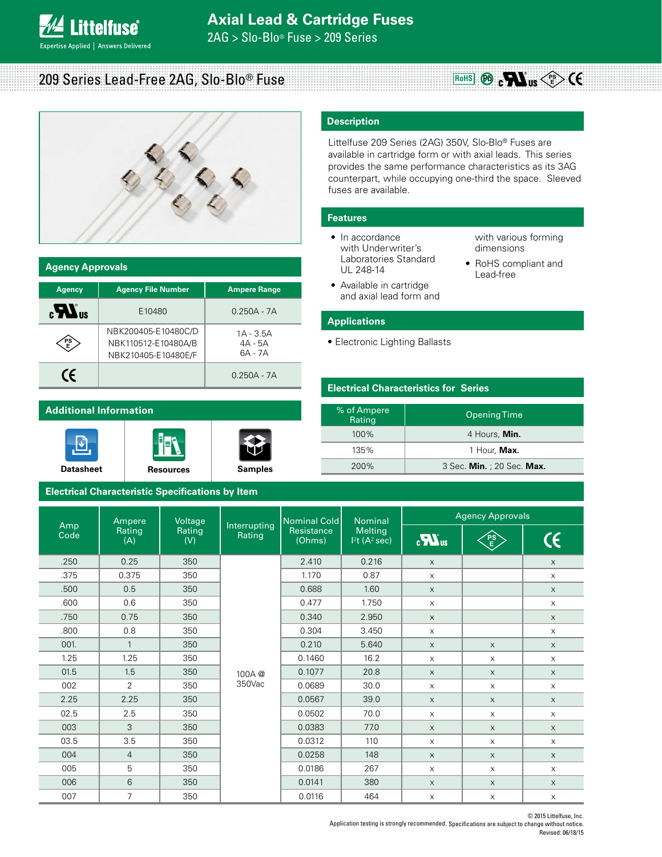2AG > Slo-Blo® Fuse > 209 Series

209 Series Lead-Free 2AG, Slo-Blo® Fuse

**ittelfuse**®

**Expertise Applied | Answers Delivered** 



| <b>Agency Approvals</b>               |                                                                   |                                     |  |  |
|---------------------------------------|-------------------------------------------------------------------|-------------------------------------|--|--|
| <b>Agency</b>                         | <b>Agency File Number</b>                                         | <b>Ampere Range</b>                 |  |  |
| $_{\rm eff}$ $\boldsymbol{H}_{\rm s}$ | E10480                                                            | $0.250A - 7A$                       |  |  |
|                                       | NBK200405-E10480C/D<br>NBK110512-E10480A/B<br>NBK210405-E10480E/F | $1A - 3.5A$<br>$4A - 5A$<br>6A - 7A |  |  |
| (F                                    |                                                                   | $0.250A - 7A$                       |  |  |

# **Additional Information**







## **Electrical Characteristic Specifications by Item**

# **Description**

Littelfuse 209 Series (2AG) 350V, Slo-Blo® Fuses are available in cartridge form or with axial leads. This series provides the same performance characteristics as its 3AG counterpart, while occupying one-third the space. Sleeved fuses are available.

#### **Features**

- In accordance with Underwriter's Laboratories Standard UL 248-14
- with various forming dimensions
- RoHS compliant and Lead-free

 $R$ <sup>OHS</sup> **PD PD PS E** 

• Available in cartridge and axial lead form and

### **Applications**

• Electronic Lighting Ballasts

#### **Electrical Characteristics for Series**

| % of Ampere<br>Rating | <b>Opening Time</b>        |
|-----------------------|----------------------------|
| $100\%$               | 4 Hours, Min.              |
| 135%                  | 1 Hour, Max.               |
| 200%                  | 3 Sec. Min. ; 20 Sec. Max. |

| Ampere      |                                                                                  | Voltage                            |                 | Nominal Cold | <b>Nominal</b>         | <b>Agency Approvals</b>   |          |                           |
|-------------|----------------------------------------------------------------------------------|------------------------------------|-----------------|--------------|------------------------|---------------------------|----------|---------------------------|
| Amp<br>Code | Interrupting<br>Rating<br>Rating<br>Resistance<br>Rating<br>(Ohms)<br>(A)<br>(V) | Melting<br>12t(A <sup>2</sup> sec) | $\sum_{\alpha}$ | FS<br>E      | $\mathsf{C}\mathsf{C}$ |                           |          |                           |
| .250        | 0.25                                                                             | 350                                |                 | 2.410        | 0.216                  | $\times$                  |          | $\mathsf X$               |
| .375        | 0.375                                                                            | 350                                |                 | 1.170        | 0.87                   | $\mathsf X$               |          | $\mathsf X$               |
| .500        | 0.5                                                                              | 350                                |                 | 0.688        | 1.60                   | $\mathsf X$               |          | $\mathsf X$               |
| .600        | 0.6                                                                              | 350                                |                 | 0.477        | 1.750                  | $\times$                  |          | $\mathsf X$               |
| .750        | 0.75                                                                             | 350                                |                 | 0.340        | 2.950                  | $\times$                  |          | $\mathsf X$               |
| .800        | 0.8                                                                              | 350                                |                 | 0.304        | 3.450                  | $\times$                  |          | $\mathsf X$               |
| 001.        | $\mathbf{1}$                                                                     | 350                                |                 | 0.210        | 5.640                  | $\mathsf X$               | $\times$ | $\mathsf X$               |
| 1.25        | 1.25                                                                             | 350                                |                 | 0.1460       | 16.2                   | $\times$                  | $\times$ | $\mathsf X$               |
| 01.5        | 1.5                                                                              | 350                                | 100A@           | 0.1077       | 20.8                   | $\mathsf X$               | X        | $\times$                  |
| 002         | $\overline{2}$                                                                   | 350                                | 350Vac          | 0.0689       | 30.0                   | $\times$                  | $\times$ | $\mathsf X$               |
| 2.25        | 2.25                                                                             | 350                                |                 | 0.0567       | 39.0                   | $\times$                  | $\times$ | $\times$                  |
| 02.5        | 2.5                                                                              | 350                                |                 | 0.0502       | 70.0                   | $\times$                  | $\times$ | $\mathsf X$               |
| 003         | 3                                                                                | 350                                |                 | 0.0383       | 77.0                   | $\mathsf X$               | X        | $\mathsf X$               |
| 03.5        | 3.5                                                                              | 350                                |                 | 0.0312       | 110                    | $\mathsf X$               | X        | $\mathsf X$               |
| 004         | $\overline{4}$                                                                   | 350                                |                 | 0.0258       | 148                    | $\times$                  | $\times$ | $\mathsf X$               |
| 005         | 5                                                                                | 350                                |                 | 0.0186       | 267                    | $\times$                  | $\times$ | $\mathsf X$               |
| 006         | 6                                                                                | 350                                |                 | 0.0141       | 380                    | X                         | $\times$ | $\mathsf X$               |
| 007         | $\overline{7}$                                                                   | 350                                |                 | 0.0116       | 464                    | $\boldsymbol{\mathsf{X}}$ | X        | $\boldsymbol{\mathsf{X}}$ |

© 2015 Littelfuse, Inc. Application testing is strongly recommended. Specifications are subject to change without notice. Revised: 06/18/15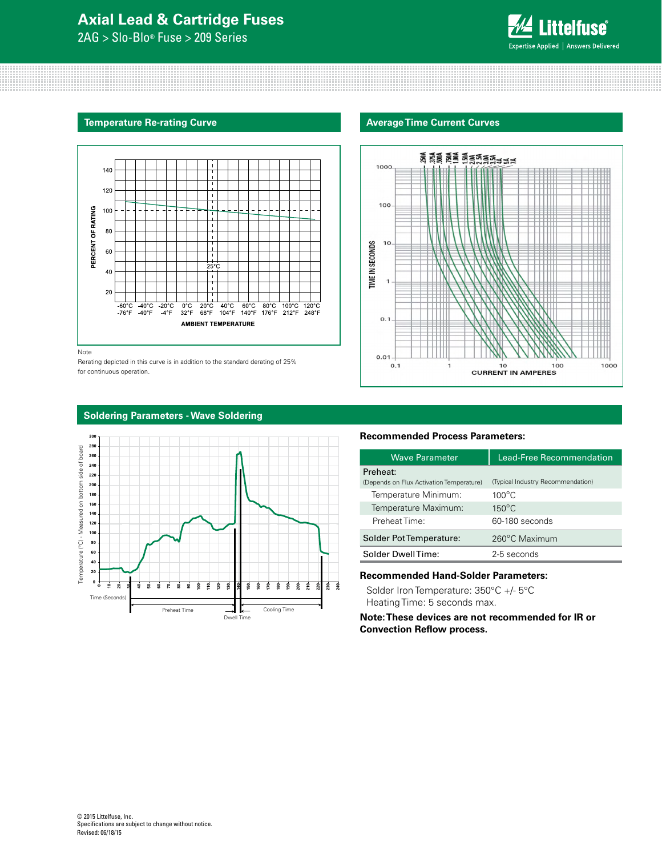# **Axial Lead & Cartridge Fuses**

2AG > Slo-Blo® Fuse > 209 Series



#### **Temperature Re-rating Curve**



Note

Rerating depicted in this curve is in addition to the standard derating of 25% for continuous operation.





# **Soldering Parameters - Wave Soldering**



#### **Recommended Process Parameters:**

| <b>Wave Parameter</b>                    | <b>Lead-Free Recommendation</b>   |  |  |
|------------------------------------------|-----------------------------------|--|--|
| Preheat:                                 |                                   |  |  |
| (Depends on Flux Activation Temperature) | (Typical Industry Recommendation) |  |  |
| Temperature Minimum:                     | $100^{\circ}$ C                   |  |  |
| Temperature Maximum:                     | $150^{\circ}$ C                   |  |  |
| Preheat Time:                            | 60-180 seconds                    |  |  |
| Solder Pot Temperature:                  | 260°C Maximum                     |  |  |
| Solder DwellTime:                        | 2-5 seconds                       |  |  |
|                                          |                                   |  |  |

## **Recommended Hand-Solder Parameters:**

Solder Iron Temperature: 350°C +/- 5°C Heating Time: 5 seconds max.

**Note: These devices are not recommended for IR or Convection Reflow process.**